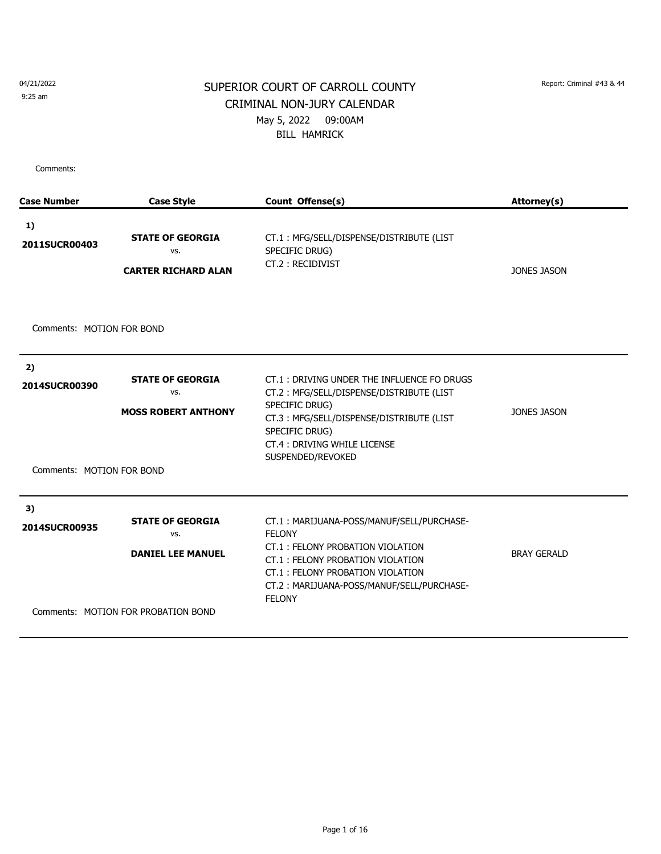9:25 am

## SUPERIOR COURT OF CARROLL COUNTY Report: Criminal #43 & 44 CRIMINAL NON-JURY CALENDAR May 5, 2022 09:00AM BILL HAMRICK

| <b>Case Number</b>                               | <b>Case Style</b>                                                                                 | Count Offense(s)                                                                                                                                                                                                                     | Attorney(s)        |
|--------------------------------------------------|---------------------------------------------------------------------------------------------------|--------------------------------------------------------------------------------------------------------------------------------------------------------------------------------------------------------------------------------------|--------------------|
| 1)<br>2011SUCR00403                              | <b>STATE OF GEORGIA</b><br>VS.<br><b>CARTER RICHARD ALAN</b>                                      | CT.1: MFG/SELL/DISPENSE/DISTRIBUTE (LIST<br>SPECIFIC DRUG)<br>CT.2: RECIDIVIST                                                                                                                                                       | <b>JONES JASON</b> |
| Comments: MOTION FOR BOND                        |                                                                                                   |                                                                                                                                                                                                                                      |                    |
| 2)<br>2014SUCR00390<br>Comments: MOTION FOR BOND | <b>STATE OF GEORGIA</b><br>VS.<br><b>MOSS ROBERT ANTHONY</b>                                      | CT.1: DRIVING UNDER THE INFLUENCE FO DRUGS<br>CT.2: MFG/SELL/DISPENSE/DISTRIBUTE (LIST<br>SPECIFIC DRUG)<br>CT.3: MFG/SELL/DISPENSE/DISTRIBUTE (LIST<br>SPECIFIC DRUG)<br>CT.4: DRIVING WHILE LICENSE<br>SUSPENDED/REVOKED           | <b>JONES JASON</b> |
| 3)<br>2014SUCR00935                              | <b>STATE OF GEORGIA</b><br>VS.<br><b>DANIEL LEE MANUEL</b><br>Comments: MOTION FOR PROBATION BOND | CT.1: MARIJUANA-POSS/MANUF/SELL/PURCHASE-<br><b>FELONY</b><br>CT.1: FELONY PROBATION VIOLATION<br>CT.1: FELONY PROBATION VIOLATION<br>CT.1: FELONY PROBATION VIOLATION<br>CT.2: MARIJUANA-POSS/MANUF/SELL/PURCHASE-<br><b>FELONY</b> | <b>BRAY GERALD</b> |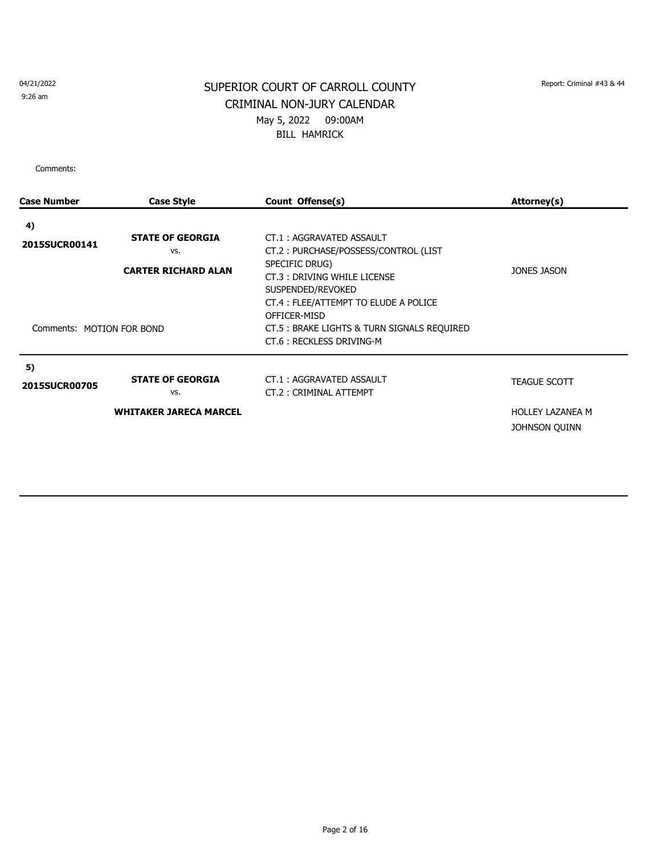9:26 am

# SUPERIOR COURT OF CARROLL COUNTY Report: Criminal #43 & 44 CRIMINAL NON-JURY CALENDAR May 5, 2022 09:00AM BILL HAMRICK

| <b>Case Number</b>        | <b>Case Style</b>                                            | Count Offense(s)                                                                                                                                                                                | Attorney(s)                       |
|---------------------------|--------------------------------------------------------------|-------------------------------------------------------------------------------------------------------------------------------------------------------------------------------------------------|-----------------------------------|
| 4)                        |                                                              |                                                                                                                                                                                                 |                                   |
| 2015SUCR00141             | <b>STATE OF GEORGIA</b><br>VS.<br><b>CARTER RICHARD ALAN</b> | CT.1: AGGRAVATED ASSAULT<br>CT.2: PURCHASE/POSSESS/CONTROL (LIST<br>SPECIFIC DRUG)<br>CT.3: DRIVING WHILE LICENSE<br>SUSPENDED/REVOKED<br>CT.4 : FLEE/ATTEMPT TO ELUDE A POLICE<br>OFFICER-MISD | JONES JASON                       |
| Comments: MOTION FOR BOND |                                                              | CT.5 : BRAKE LIGHTS & TURN SIGNALS REQUIRED<br>CT.6: RECKLESS DRIVING-M                                                                                                                         |                                   |
| 5)<br>2015SUCR00705       | <b>STATE OF GEORGIA</b><br>VS.                               | CT.1: AGGRAVATED ASSAULT<br>CT.2: CRIMINAL ATTEMPT                                                                                                                                              | <b>TEAGUE SCOTT</b>               |
|                           | <b>WHITAKER JARECA MARCEL</b>                                |                                                                                                                                                                                                 | HOLLEY LAZANEA M<br>JOHNSON QUINN |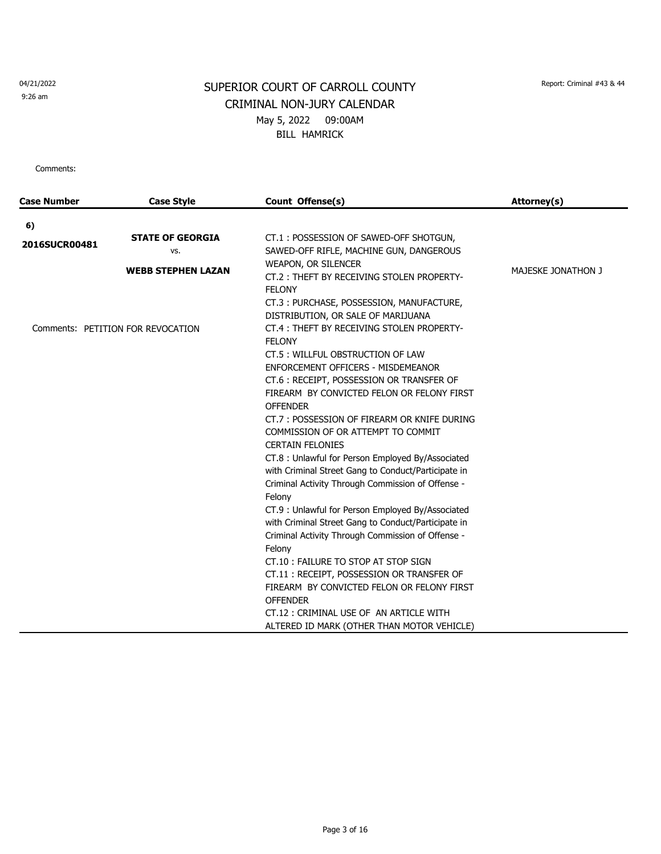9:26 am

# SUPERIOR COURT OF CARROLL COUNTY Report: Criminal #43 & 44 CRIMINAL NON-JURY CALENDAR May 5, 2022 09:00AM BILL HAMRICK

| <b>Case Number</b> | <b>Case Style</b>                 | Count Offense(s)                                                                                                                                                                                                                                                                                                        | Attorney(s)        |
|--------------------|-----------------------------------|-------------------------------------------------------------------------------------------------------------------------------------------------------------------------------------------------------------------------------------------------------------------------------------------------------------------------|--------------------|
| 6)                 |                                   |                                                                                                                                                                                                                                                                                                                         |                    |
| 2016SUCR00481      | <b>STATE OF GEORGIA</b><br>VS.    | CT.1: POSSESSION OF SAWED-OFF SHOTGUN,<br>SAWED-OFF RIFLE, MACHINE GUN, DANGEROUS                                                                                                                                                                                                                                       |                    |
|                    | <b>WEBB STEPHEN LAZAN</b>         | WEAPON, OR SILENCER<br>CT.2: THEFT BY RECEIVING STOLEN PROPERTY-<br><b>FELONY</b>                                                                                                                                                                                                                                       | MAJESKE JONATHON J |
|                    | Comments: PETITION FOR REVOCATION | CT.3: PURCHASE, POSSESSION, MANUFACTURE,<br>DISTRIBUTION, OR SALE OF MARIJUANA<br>CT.4: THEFT BY RECEIVING STOLEN PROPERTY-<br><b>FELONY</b><br>CT.5: WILLFUL OBSTRUCTION OF LAW<br><b>ENFORCEMENT OFFICERS - MISDEMEANOR</b><br>CT.6: RECEIPT, POSSESSION OR TRANSFER OF<br>FIREARM BY CONVICTED FELON OR FELONY FIRST |                    |
|                    |                                   | <b>OFFENDER</b><br>CT.7: POSSESSION OF FIREARM OR KNIFE DURING<br>COMMISSION OF OR ATTEMPT TO COMMIT<br><b>CERTAIN FELONIES</b><br>CT.8 : Unlawful for Person Employed By/Associated<br>with Criminal Street Gang to Conduct/Participate in                                                                             |                    |
|                    |                                   | Criminal Activity Through Commission of Offense -<br>Felony<br>CT.9 : Unlawful for Person Employed By/Associated<br>with Criminal Street Gang to Conduct/Participate in<br>Criminal Activity Through Commission of Offense -<br>Felony                                                                                  |                    |
|                    |                                   | CT.10: FAILURE TO STOP AT STOP SIGN<br>CT.11: RECEIPT, POSSESSION OR TRANSFER OF<br>FIREARM BY CONVICTED FELON OR FELONY FIRST<br><b>OFFENDER</b><br>CT.12 : CRIMINAL USE OF AN ARTICLE WITH<br>ALTERED ID MARK (OTHER THAN MOTOR VEHICLE)                                                                              |                    |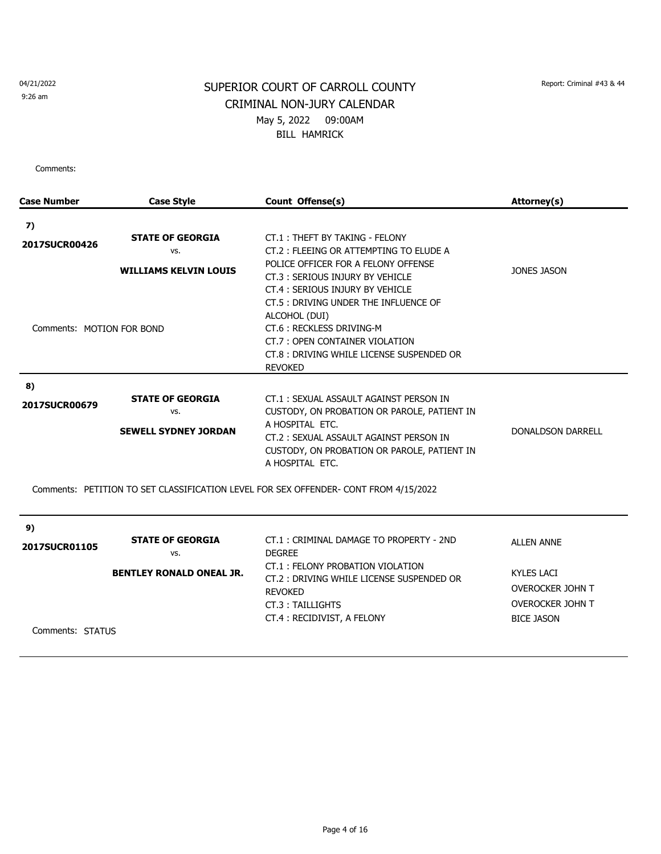9:26 am

# SUPERIOR COURT OF CARROLL COUNTY Report: Criminal #43 & 44 CRIMINAL NON-JURY CALENDAR May 5, 2022 09:00AM BILL HAMRICK

| <b>Case Number</b>        | <b>Case Style</b>               | Count Offense(s)                                                                                                                                                                    | Attorney(s)             |
|---------------------------|---------------------------------|-------------------------------------------------------------------------------------------------------------------------------------------------------------------------------------|-------------------------|
| 7)                        |                                 |                                                                                                                                                                                     |                         |
| 2017SUCR00426             | <b>STATE OF GEORGIA</b>         | CT.1: THEFT BY TAKING - FELONY                                                                                                                                                      |                         |
|                           | VS.                             | CT.2: FLEEING OR ATTEMPTING TO ELUDE A                                                                                                                                              |                         |
|                           | <b>WILLIAMS KELVIN LOUIS</b>    | POLICE OFFICER FOR A FELONY OFFENSE<br>CT.3: SERIOUS INJURY BY VEHICLE<br>CT.4: SERIOUS INJURY BY VEHICLE                                                                           | JONES JASON             |
| Comments: MOTION FOR BOND |                                 | CT.5 : DRIVING UNDER THE INFLUENCE OF<br>ALCOHOL (DUI)<br>CT.6: RECKLESS DRIVING-M<br>CT.7: OPEN CONTAINER VIOLATION<br>CT.8 : DRIVING WHILE LICENSE SUSPENDED OR<br><b>REVOKED</b> |                         |
| 8)                        |                                 |                                                                                                                                                                                     |                         |
| 2017SUCR00679             | <b>STATE OF GEORGIA</b><br>VS.  | CT.1: SEXUAL ASSAULT AGAINST PERSON IN<br>CUSTODY, ON PROBATION OR PAROLE, PATIENT IN<br>A HOSPITAL ETC.                                                                            |                         |
|                           | <b>SEWELL SYDNEY JORDAN</b>     | CT.2: SEXUAL ASSAULT AGAINST PERSON IN<br>CUSTODY, ON PROBATION OR PAROLE, PATIENT IN<br>A HOSPITAL ETC.                                                                            | DONALDSON DARRELL       |
|                           |                                 | Comments: PETITION TO SET CLASSIFICATION LEVEL FOR SEX OFFENDER- CONT FROM 4/15/2022                                                                                                |                         |
| 9)                        |                                 |                                                                                                                                                                                     |                         |
| 2017SUCR01105             | <b>STATE OF GEORGIA</b><br>VS.  | CT.1: CRIMINAL DAMAGE TO PROPERTY - 2ND<br><b>DEGREE</b>                                                                                                                            | <b>ALLEN ANNE</b>       |
|                           | <b>BENTLEY RONALD ONEAL JR.</b> | CT.1: FELONY PROBATION VIOLATION<br>CT.2: DRIVING WHILE LICENSE SUSPENDED OR                                                                                                        | <b>KYLES LACI</b>       |
|                           |                                 | <b>REVOKED</b>                                                                                                                                                                      | OVEROCKER JOHN T        |
|                           |                                 | CT.3: TAILLIGHTS                                                                                                                                                                    | <b>OVEROCKER JOHN T</b> |
|                           |                                 | CT.4: RECIDIVIST, A FELONY                                                                                                                                                          | <b>BICE JASON</b>       |
| Comments: STATUS          |                                 |                                                                                                                                                                                     |                         |
|                           |                                 |                                                                                                                                                                                     |                         |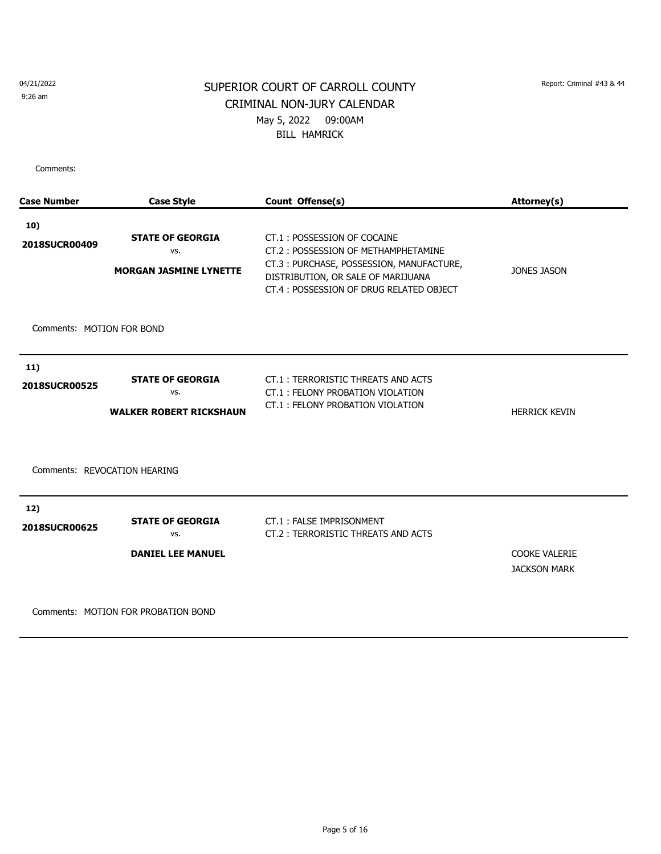9:26 am

## SUPERIOR COURT OF CARROLL COUNTY Report: Criminal #43 & 44 CRIMINAL NON-JURY CALENDAR May 5, 2022 09:00AM BILL HAMRICK

Comments:

| <b>Case Number</b>                                   | <b>Case Style</b>                                                | Count Offense(s)                                                                                                                                                                                | <b>Attorney(s)</b>                          |
|------------------------------------------------------|------------------------------------------------------------------|-------------------------------------------------------------------------------------------------------------------------------------------------------------------------------------------------|---------------------------------------------|
| 10)<br>2018SUCR00409                                 | <b>STATE OF GEORGIA</b><br>VS.<br><b>MORGAN JASMINE LYNETTE</b>  | CT.1: POSSESSION OF COCAINE<br>CT.2: POSSESSION OF METHAMPHETAMINE<br>CT.3: PURCHASE, POSSESSION, MANUFACTURE,<br>DISTRIBUTION, OR SALE OF MARIJUANA<br>CT.4: POSSESSION OF DRUG RELATED OBJECT | <b>JONES JASON</b>                          |
| Comments: MOTION FOR BOND                            |                                                                  |                                                                                                                                                                                                 |                                             |
| 11)<br>2018SUCR00525<br>Comments: REVOCATION HEARING | <b>STATE OF GEORGIA</b><br>VS.<br><b>WALKER ROBERT RICKSHAUN</b> | CT.1: TERRORISTIC THREATS AND ACTS<br>CT.1: FELONY PROBATION VIOLATION<br>CT.1: FELONY PROBATION VIOLATION                                                                                      | <b>HERRICK KEVIN</b>                        |
| 12)<br>2018SUCR00625                                 | <b>STATE OF GEORGIA</b><br>VS.<br><b>DANIEL LEE MANUEL</b>       | CT.1: FALSE IMPRISONMENT<br>CT.2: TERRORISTIC THREATS AND ACTS                                                                                                                                  | <b>COOKE VALERIE</b><br><b>JACKSON MARK</b> |

Comments: MOTION FOR PROBATION BOND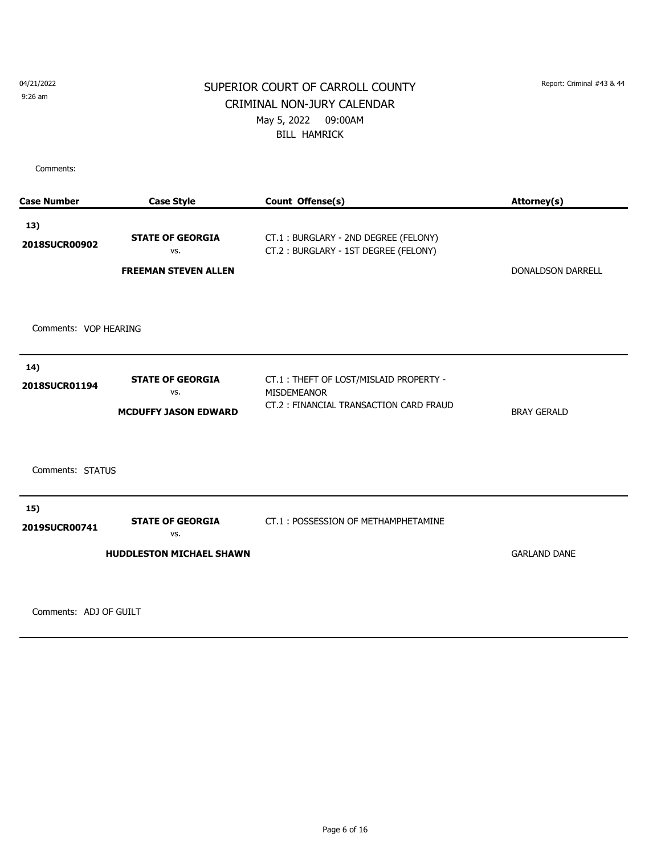9:26 am

## SUPERIOR COURT OF CARROLL COUNTY Report: Criminal #43 & 44 CRIMINAL NON-JURY CALENDAR May 5, 2022 09:00AM BILL HAMRICK

Comments:

| <b>Case Number</b>    | <b>Case Style</b>                                                 | Count Offense(s)                                                                                       | Attorney(s)              |
|-----------------------|-------------------------------------------------------------------|--------------------------------------------------------------------------------------------------------|--------------------------|
| 13)<br>2018SUCR00902  | <b>STATE OF GEORGIA</b><br>VS.<br><b>FREEMAN STEVEN ALLEN</b>     | CT.1: BURGLARY - 2ND DEGREE (FELONY)<br>CT.2: BURGLARY - 1ST DEGREE (FELONY)                           | <b>DONALDSON DARRELL</b> |
| Comments: VOP HEARING |                                                                   |                                                                                                        |                          |
| 14)<br>2018SUCR01194  | <b>STATE OF GEORGIA</b><br>VS.<br><b>MCDUFFY JASON EDWARD</b>     | CT.1: THEFT OF LOST/MISLAID PROPERTY -<br><b>MISDEMEANOR</b><br>CT.2: FINANCIAL TRANSACTION CARD FRAUD | <b>BRAY GERALD</b>       |
| Comments: STATUS      |                                                                   |                                                                                                        |                          |
| 15)<br>2019SUCR00741  | <b>STATE OF GEORGIA</b><br>VS.<br><b>HUDDLESTON MICHAEL SHAWN</b> | CT.1: POSSESSION OF METHAMPHETAMINE                                                                    | <b>GARLAND DANE</b>      |
|                       |                                                                   |                                                                                                        |                          |

Comments: ADJ OF GUILT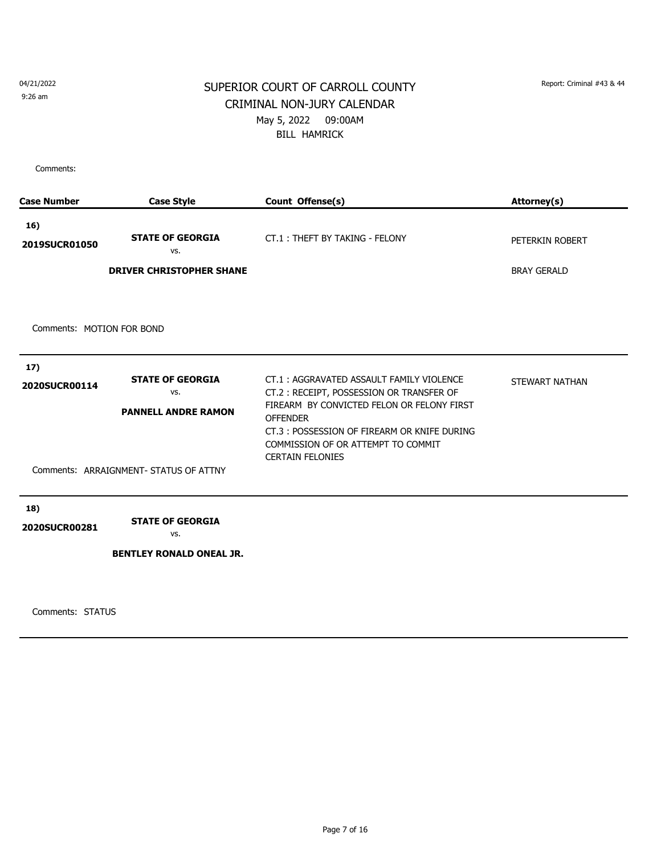9:26 am

## SUPERIOR COURT OF CARROLL COUNTY Report: Criminal #43 & 44 CRIMINAL NON-JURY CALENDAR May 5, 2022 09:00AM BILL HAMRICK

Comments:

| <b>Case Number</b>        | <b>Case Style</b>                                                                                      | Count Offense(s)                                                                                                                                                                                                                                                      | Attorney(s)        |
|---------------------------|--------------------------------------------------------------------------------------------------------|-----------------------------------------------------------------------------------------------------------------------------------------------------------------------------------------------------------------------------------------------------------------------|--------------------|
| 16)<br>2019SUCR01050      | <b>STATE OF GEORGIA</b><br>VS.                                                                         | CT.1: THEFT BY TAKING - FELONY                                                                                                                                                                                                                                        | PETERKIN ROBERT    |
|                           | <b>DRIVER CHRISTOPHER SHANE</b>                                                                        |                                                                                                                                                                                                                                                                       | <b>BRAY GERALD</b> |
| Comments: MOTION FOR BOND |                                                                                                        |                                                                                                                                                                                                                                                                       |                    |
| 17)<br>2020SUCR00114      | <b>STATE OF GEORGIA</b><br>VS.<br><b>PANNELL ANDRE RAMON</b><br>Comments: ARRAIGNMENT- STATUS OF ATTNY | CT.1: AGGRAVATED ASSAULT FAMILY VIOLENCE<br>CT.2: RECEIPT, POSSESSION OR TRANSFER OF<br>FIREARM BY CONVICTED FELON OR FELONY FIRST<br><b>OFFENDER</b><br>CT.3: POSSESSION OF FIREARM OR KNIFE DURING<br>COMMISSION OF OR ATTEMPT TO COMMIT<br><b>CERTAIN FELONIES</b> | STEWART NATHAN     |
| 18)<br>2020SUCR00281      | <b>STATE OF GEORGIA</b><br>VS.<br><b>BENTLEY RONALD ONEAL JR.</b>                                      |                                                                                                                                                                                                                                                                       |                    |

Comments: STATUS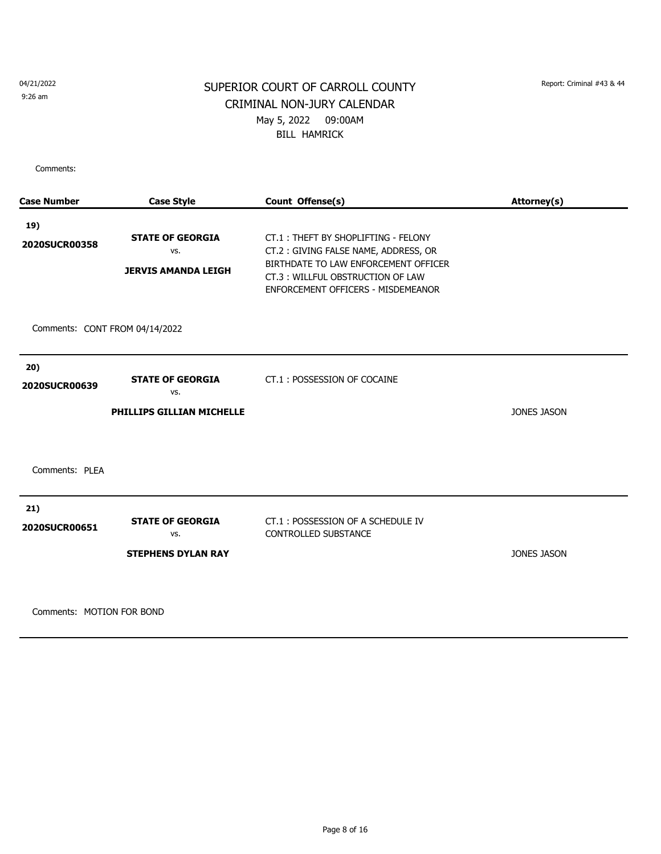9:26 am

## SUPERIOR COURT OF CARROLL COUNTY Report: Criminal #43 & 44 CRIMINAL NON-JURY CALENDAR May 5, 2022 09:00AM BILL HAMRICK

Comments:

| <b>Case Number</b>             | <b>Case Style</b>                                                  | Count Offense(s)                                                                                                                                                                              | Attorney(s)        |
|--------------------------------|--------------------------------------------------------------------|-----------------------------------------------------------------------------------------------------------------------------------------------------------------------------------------------|--------------------|
| 19)<br>2020SUCR00358           | <b>STATE OF GEORGIA</b><br>VS.<br><b>JERVIS AMANDA LEIGH</b>       | CT.1: THEFT BY SHOPLIFTING - FELONY<br>CT.2: GIVING FALSE NAME, ADDRESS, OR<br>BIRTHDATE TO LAW ENFORCEMENT OFFICER<br>CT.3: WILLFUL OBSTRUCTION OF LAW<br>ENFORCEMENT OFFICERS - MISDEMEANOR |                    |
| Comments: CONT FROM 04/14/2022 |                                                                    |                                                                                                                                                                                               |                    |
| 20)<br>2020SUCR00639           | <b>STATE OF GEORGIA</b><br>VS.<br><b>PHILLIPS GILLIAN MICHELLE</b> | CT.1: POSSESSION OF COCAINE                                                                                                                                                                   | JONES JASON        |
| Comments: PLEA                 |                                                                    |                                                                                                                                                                                               |                    |
| 21)<br>2020SUCR00651           | <b>STATE OF GEORGIA</b><br>VS.<br><b>STEPHENS DYLAN RAY</b>        | CT.1: POSSESSION OF A SCHEDULE IV<br><b>CONTROLLED SUBSTANCE</b>                                                                                                                              | <b>JONES JASON</b> |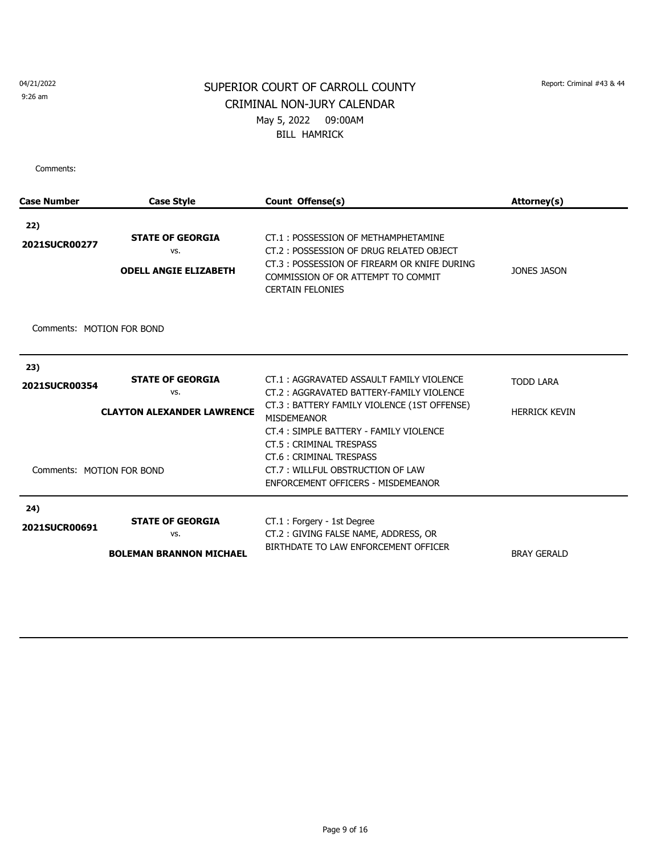9:26 am

## SUPERIOR COURT OF CARROLL COUNTY Report: Criminal #43 & 44 CRIMINAL NON-JURY CALENDAR May 5, 2022 09:00AM BILL HAMRICK

| <b>Case Number</b>        | <b>Case Style</b>                                                   | Count Offense(s)                                                                                                                                                                                                                                           | Attorney(s)                              |
|---------------------------|---------------------------------------------------------------------|------------------------------------------------------------------------------------------------------------------------------------------------------------------------------------------------------------------------------------------------------------|------------------------------------------|
| 22)<br>2021SUCR00277      | <b>STATE OF GEORGIA</b><br>VS.<br><b>ODELL ANGIE ELIZABETH</b>      | CT.1: POSSESSION OF METHAMPHETAMINE<br>CT.2: POSSESSION OF DRUG RELATED OBJECT<br>CT.3: POSSESSION OF FIREARM OR KNIFE DURING<br>COMMISSION OF OR ATTEMPT TO COMMIT<br><b>CERTAIN FELONIES</b>                                                             | <b>JONES JASON</b>                       |
| Comments: MOTION FOR BOND |                                                                     |                                                                                                                                                                                                                                                            |                                          |
| 23)<br>2021SUCR00354      | <b>STATE OF GEORGIA</b><br>VS.<br><b>CLAYTON ALEXANDER LAWRENCE</b> | CT.1: AGGRAVATED ASSAULT FAMILY VIOLENCE<br>CT.2: AGGRAVATED BATTERY-FAMILY VIOLENCE<br>CT.3: BATTERY FAMILY VIOLENCE (1ST OFFENSE)<br><b>MISDEMEANOR</b><br>CT.4 : SIMPLE BATTERY - FAMILY VIOLENCE<br>CT.5: CRIMINAL TRESPASS<br>CT.6: CRIMINAL TRESPASS | <b>TODD LARA</b><br><b>HERRICK KEVIN</b> |
| Comments: MOTION FOR BOND |                                                                     | CT.7: WILLFUL OBSTRUCTION OF LAW<br>ENFORCEMENT OFFICERS - MISDEMEANOR                                                                                                                                                                                     |                                          |
| 24)<br>2021SUCR00691      | <b>STATE OF GEORGIA</b><br>VS.<br><b>BOLEMAN BRANNON MICHAEL</b>    | CT.1: Forgery - 1st Degree<br>CT.2: GIVING FALSE NAME, ADDRESS, OR<br>BIRTHDATE TO LAW ENFORCEMENT OFFICER                                                                                                                                                 | <b>BRAY GERALD</b>                       |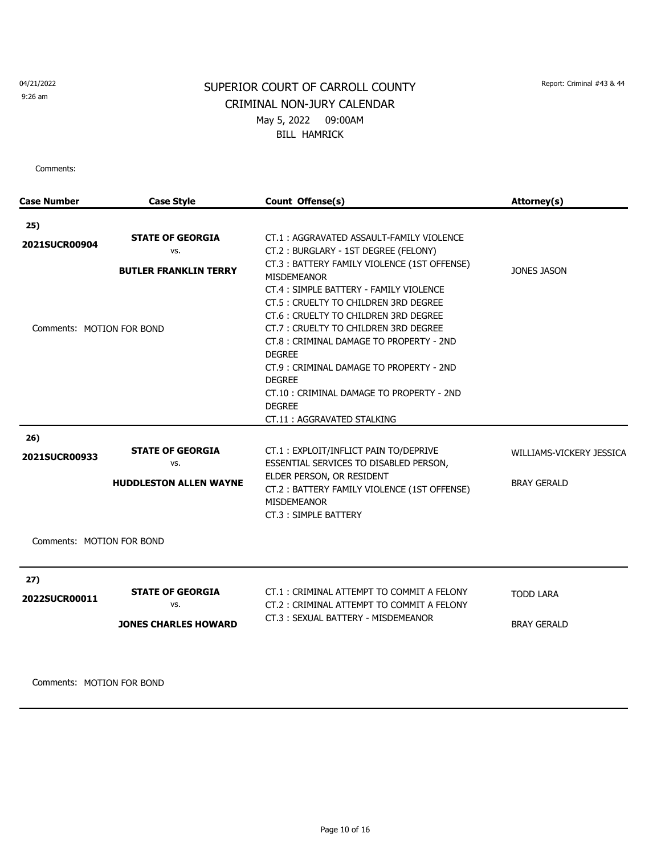9:26 am

# SUPERIOR COURT OF CARROLL COUNTY Report: Criminal #43 & 44 CRIMINAL NON-JURY CALENDAR May 5, 2022 09:00AM BILL HAMRICK

Comments:

| <b>Case Number</b>        | <b>Case Style</b>             | Count Offense(s)                                                  | Attorney(s)              |
|---------------------------|-------------------------------|-------------------------------------------------------------------|--------------------------|
| 25)                       |                               |                                                                   |                          |
|                           | <b>STATE OF GEORGIA</b>       | CT.1: AGGRAVATED ASSAULT-FAMILY VIOLENCE                          |                          |
| 2021SUCR00904             | VS.                           | CT.2: BURGLARY - 1ST DEGREE (FELONY)                              |                          |
|                           | <b>BUTLER FRANKLIN TERRY</b>  | CT.3: BATTERY FAMILY VIOLENCE (1ST OFFENSE)<br><b>MISDEMEANOR</b> | <b>JONES JASON</b>       |
|                           |                               | CT.4: SIMPLE BATTERY - FAMILY VIOLENCE                            |                          |
|                           |                               | CT.5 : CRUELTY TO CHILDREN 3RD DEGREE                             |                          |
|                           |                               | CT.6: CRUELTY TO CHILDREN 3RD DEGREE                              |                          |
| Comments: MOTION FOR BOND |                               | CT.7: CRUELTY TO CHILDREN 3RD DEGREE                              |                          |
|                           |                               | CT.8: CRIMINAL DAMAGE TO PROPERTY - 2ND                           |                          |
|                           |                               | <b>DEGREE</b>                                                     |                          |
|                           |                               | CT.9: CRIMINAL DAMAGE TO PROPERTY - 2ND                           |                          |
|                           |                               | <b>DEGREE</b>                                                     |                          |
|                           |                               | CT.10: CRIMINAL DAMAGE TO PROPERTY - 2ND                          |                          |
|                           |                               | <b>DEGREE</b>                                                     |                          |
|                           |                               | CT.11: AGGRAVATED STALKING                                        |                          |
| 26)                       |                               |                                                                   |                          |
|                           | <b>STATE OF GEORGIA</b>       | CT.1: EXPLOIT/INFLICT PAIN TO/DEPRIVE                             | WILLIAMS-VICKERY JESSICA |
| 2021SUCR00933             | VS.                           | ESSENTIAL SERVICES TO DISABLED PERSON,                            |                          |
|                           |                               | ELDER PERSON, OR RESIDENT                                         |                          |
|                           | <b>HUDDLESTON ALLEN WAYNE</b> | CT.2: BATTERY FAMILY VIOLENCE (1ST OFFENSE)<br><b>MISDEMEANOR</b> | <b>BRAY GERALD</b>       |
|                           |                               | CT.3: SIMPLE BATTERY                                              |                          |
| Comments: MOTION FOR BOND |                               |                                                                   |                          |
| 27)                       |                               |                                                                   |                          |
| 2022SUCR00011             | <b>STATE OF GEORGIA</b>       | CT.1: CRIMINAL ATTEMPT TO COMMIT A FELONY                         | <b>TODD LARA</b>         |
|                           | VS.                           | CT.2: CRIMINAL ATTEMPT TO COMMIT A FELONY                         |                          |
|                           | <b>JONES CHARLES HOWARD</b>   | CT.3: SEXUAL BATTERY - MISDEMEANOR                                | <b>BRAY GERALD</b>       |
|                           |                               |                                                                   |                          |
|                           |                               |                                                                   |                          |
|                           |                               |                                                                   |                          |
|                           |                               |                                                                   |                          |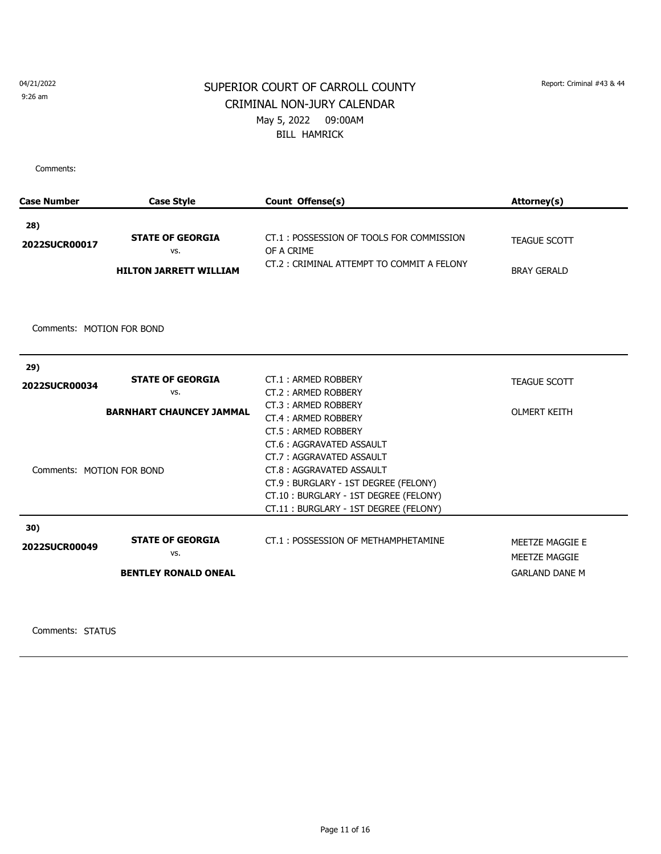9:26 am

## SUPERIOR COURT OF CARROLL COUNTY Report: Criminal #43 & 44 CRIMINAL NON-JURY CALENDAR May 5, 2022 09:00AM BILL HAMRICK

Comments:

| <b>Case Number</b>        | <b>Case Style</b>               | Count Offense(s)                                       | Attorney(s)           |
|---------------------------|---------------------------------|--------------------------------------------------------|-----------------------|
| 28)                       |                                 |                                                        |                       |
| 2022SUCR00017             | <b>STATE OF GEORGIA</b><br>VS.  | CT.1: POSSESSION OF TOOLS FOR COMMISSION<br>OF A CRIME | <b>TEAGUE SCOTT</b>   |
|                           | <b>HILTON JARRETT WILLIAM</b>   | CT.2: CRIMINAL ATTEMPT TO COMMIT A FELONY              | <b>BRAY GERALD</b>    |
|                           |                                 |                                                        |                       |
| Comments: MOTION FOR BOND |                                 |                                                        |                       |
|                           |                                 |                                                        |                       |
| 29)                       |                                 |                                                        |                       |
| 2022SUCR00034             | <b>STATE OF GEORGIA</b>         | CT.1: ARMED ROBBERY                                    | <b>TEAGUE SCOTT</b>   |
|                           | VS.                             | CT.2: ARMED ROBBERY                                    |                       |
|                           | <b>BARNHART CHAUNCEY JAMMAL</b> | CT.3: ARMED ROBBERY                                    | <b>OLMERT KEITH</b>   |
|                           |                                 | CT.4: ARMED ROBBERY                                    |                       |
|                           |                                 | CT.5: ARMED ROBBERY                                    |                       |
|                           |                                 | CT.6: AGGRAVATED ASSAULT                               |                       |
|                           |                                 | CT.7: AGGRAVATED ASSAULT                               |                       |
| Comments: MOTION FOR BOND |                                 | CT.8: AGGRAVATED ASSAULT                               |                       |
|                           |                                 | CT.9: BURGLARY - 1ST DEGREE (FELONY)                   |                       |
|                           |                                 | CT.10: BURGLARY - 1ST DEGREE (FELONY)                  |                       |
|                           |                                 | CT.11: BURGLARY - 1ST DEGREE (FELONY)                  |                       |
| 30)                       |                                 |                                                        |                       |
| 2022SUCR00049             | <b>STATE OF GEORGIA</b>         | CT.1: POSSESSION OF METHAMPHETAMINE                    | MEETZE MAGGIE E       |
|                           | VS.                             |                                                        | <b>MEETZE MAGGIE</b>  |
|                           | <b>BENTLEY RONALD ONEAL</b>     |                                                        | <b>GARLAND DANE M</b> |
|                           |                                 |                                                        |                       |

Comments: STATUS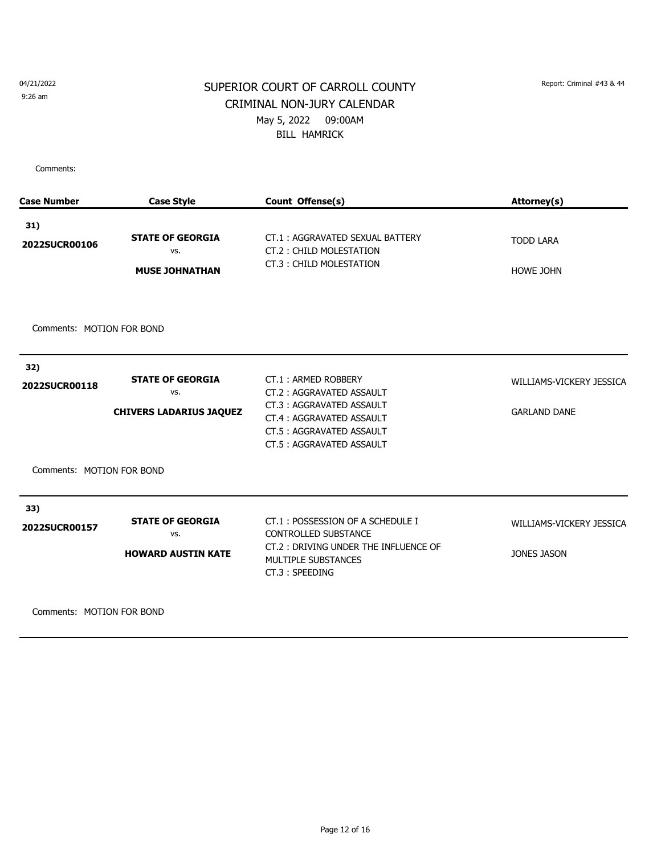9:26 am

## SUPERIOR COURT OF CARROLL COUNTY Report: Criminal #43 & 44 CRIMINAL NON-JURY CALENDAR May 5, 2022 09:00AM BILL HAMRICK

Comments:

| <b>Case Number</b>                                | <b>Case Style</b>                                                | Count Offense(s)                                                                                                                                                | Attorney(s)                                     |
|---------------------------------------------------|------------------------------------------------------------------|-----------------------------------------------------------------------------------------------------------------------------------------------------------------|-------------------------------------------------|
| 31)<br>2022SUCR00106<br>Comments: MOTION FOR BOND | <b>STATE OF GEORGIA</b><br>VS.<br><b>MUSE JOHNATHAN</b>          | CT.1: AGGRAVATED SEXUAL BATTERY<br>CT.2: CHILD MOLESTATION<br>CT.3: CHILD MOLESTATION                                                                           | <b>TODD LARA</b><br><b>HOWE JOHN</b>            |
| 32)<br>2022SUCR00118                              | <b>STATE OF GEORGIA</b><br>VS.<br><b>CHIVERS LADARIUS JAQUEZ</b> | CT.1: ARMED ROBBERY<br>CT.2: AGGRAVATED ASSAULT<br>CT.3: AGGRAVATED ASSAULT<br>CT.4: AGGRAVATED ASSAULT<br>CT.5: AGGRAVATED ASSAULT<br>CT.5: AGGRAVATED ASSAULT | WILLIAMS-VICKERY JESSICA<br><b>GARLAND DANE</b> |
| Comments: MOTION FOR BOND<br>33)<br>2022SUCR00157 | <b>STATE OF GEORGIA</b><br>VS.<br><b>HOWARD AUSTIN KATE</b>      | CT.1: POSSESSION OF A SCHEDULE I<br><b>CONTROLLED SUBSTANCE</b><br>CT.2: DRIVING UNDER THE INFLUENCE OF<br>MULTIPLE SUBSTANCES<br>CT.3: SPEEDING                | WILLIAMS-VICKERY JESSICA<br><b>JONES JASON</b>  |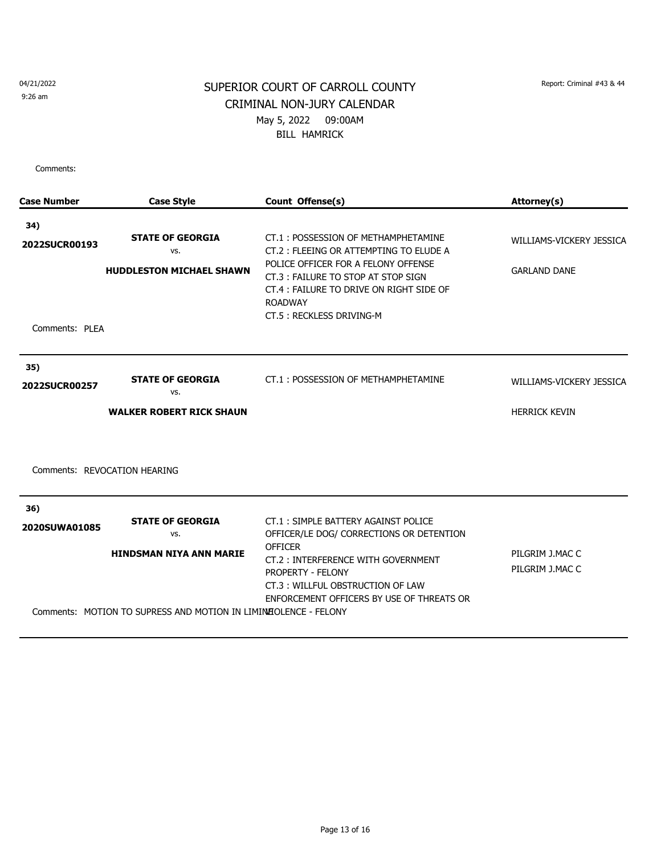9:26 am

## SUPERIOR COURT OF CARROLL COUNTY Report: Criminal #43 & 44 CRIMINAL NON-JURY CALENDAR May 5, 2022 09:00AM BILL HAMRICK

| <b>Case Number</b>           | <b>Case Style</b>                                                                                 | Count Offense(s)                                                                                                                                                    | Attorney(s)                        |
|------------------------------|---------------------------------------------------------------------------------------------------|---------------------------------------------------------------------------------------------------------------------------------------------------------------------|------------------------------------|
| 34)                          |                                                                                                   |                                                                                                                                                                     |                                    |
| 2022SUCR00193                | <b>STATE OF GEORGIA</b><br>VS.                                                                    | CT.1: POSSESSION OF METHAMPHETAMINE<br>CT.2 : FLEEING OR ATTEMPTING TO ELUDE A                                                                                      | WILLIAMS-VICKERY JESSICA           |
|                              | <b>HUDDLESTON MICHAEL SHAWN</b>                                                                   | POLICE OFFICER FOR A FELONY OFFENSE<br>CT.3: FAILURE TO STOP AT STOP SIGN<br>CT.4 : FAILURE TO DRIVE ON RIGHT SIDE OF<br><b>ROADWAY</b><br>CT.5: RECKLESS DRIVING-M | <b>GARLAND DANE</b>                |
| Comments: PLEA               |                                                                                                   |                                                                                                                                                                     |                                    |
| 35)<br>2022SUCR00257         | <b>STATE OF GEORGIA</b><br>VS.                                                                    | CT.1: POSSESSION OF METHAMPHETAMINE                                                                                                                                 | WILLIAMS-VICKERY JESSICA           |
|                              | <b>WALKER ROBERT RICK SHAUN</b>                                                                   |                                                                                                                                                                     | <b>HERRICK KEVIN</b>               |
| Comments: REVOCATION HEARING |                                                                                                   |                                                                                                                                                                     |                                    |
| 36)                          |                                                                                                   |                                                                                                                                                                     |                                    |
| 2020SUWA01085                | <b>STATE OF GEORGIA</b><br>VS.                                                                    | CT.1: SIMPLE BATTERY AGAINST POLICE<br>OFFICER/LE DOG/ CORRECTIONS OR DETENTION                                                                                     |                                    |
|                              | <b>HINDSMAN NIYA ANN MARIE</b><br>Comments: MOTION TO SUPRESS AND MOTION IN LIMINEOLENCE - FELONY | <b>OFFICER</b><br>CT.2: INTERFERENCE WITH GOVERNMENT<br>PROPERTY - FELONY<br>CT.3: WILLFUL OBSTRUCTION OF LAW<br>ENFORCEMENT OFFICERS BY USE OF THREATS OR          | PILGRIM J.MAC C<br>PILGRIM J.MAC C |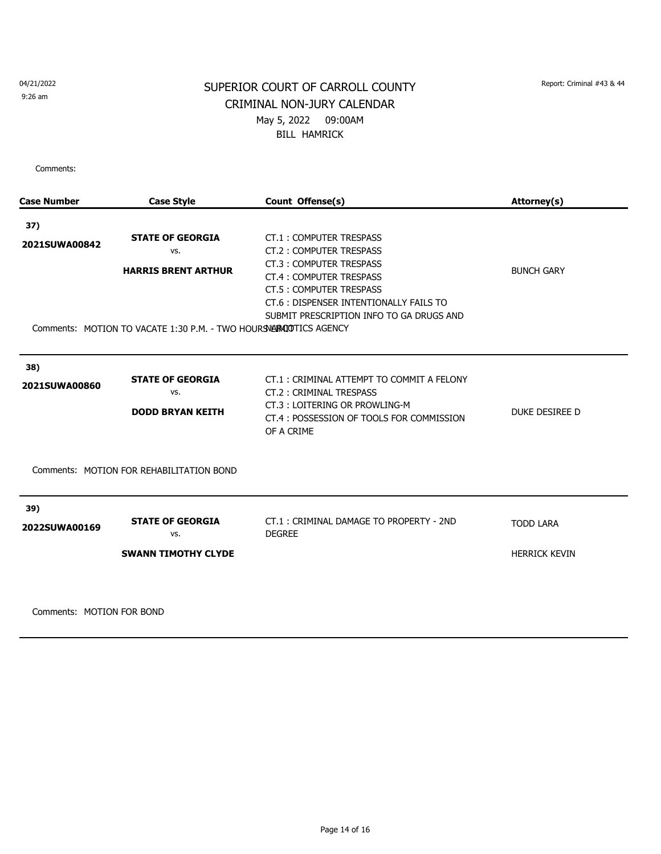9:26 am

## SUPERIOR COURT OF CARROLL COUNTY Report: Criminal #43 & 44 CRIMINAL NON-JURY CALENDAR May 5, 2022 09:00AM BILL HAMRICK

Comments:

| <b>Case Number</b>   | <b>Case Style</b>                                                                                                                  | Count Offense(s)                                                                                                                                                                                                                                              | Attorney(s)                              |
|----------------------|------------------------------------------------------------------------------------------------------------------------------------|---------------------------------------------------------------------------------------------------------------------------------------------------------------------------------------------------------------------------------------------------------------|------------------------------------------|
| 37)<br>2021SUWA00842 | <b>STATE OF GEORGIA</b><br>VS.<br><b>HARRIS BRENT ARTHUR</b><br>Comments: MOTION TO VACATE 1:30 P.M. - TWO HOURS NARROTTICS AGENCY | <b>CT.1: COMPUTER TRESPASS</b><br><b>CT.2: COMPUTER TRESPASS</b><br><b>CT.3: COMPUTER TRESPASS</b><br><b>CT.4: COMPUTER TRESPASS</b><br><b>CT.5: COMPUTER TRESPASS</b><br>CT.6 : DISPENSER INTENTIONALLY FAILS TO<br>SUBMIT PRESCRIPTION INFO TO GA DRUGS AND | <b>BUNCH GARY</b>                        |
| 38)<br>2021SUWA00860 | <b>STATE OF GEORGIA</b><br>VS.<br><b>DODD BRYAN KEITH</b>                                                                          | CT.1: CRIMINAL ATTEMPT TO COMMIT A FELONY<br>CT.2: CRIMINAL TRESPASS<br>CT.3: LOITERING OR PROWLING-M<br>CT.4 : POSSESSION OF TOOLS FOR COMMISSION<br>OF A CRIME                                                                                              | DUKE DESIREE D                           |
|                      | Comments: MOTION FOR REHABILITATION BOND                                                                                           |                                                                                                                                                                                                                                                               |                                          |
| 39)<br>2022SUWA00169 | <b>STATE OF GEORGIA</b><br>VS.<br><b>SWANN TIMOTHY CLYDE</b>                                                                       | CT.1: CRIMINAL DAMAGE TO PROPERTY - 2ND<br><b>DEGREE</b>                                                                                                                                                                                                      | <b>TODD LARA</b><br><b>HERRICK KEVIN</b> |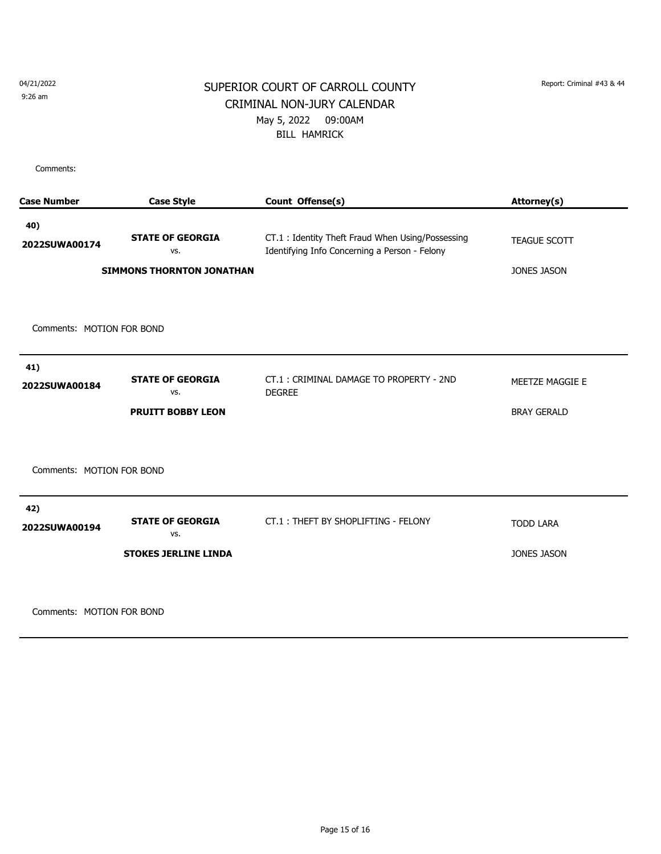9:26 am

## SUPERIOR COURT OF CARROLL COUNTY Report: Criminal #43 & 44 CRIMINAL NON-JURY CALENDAR May 5, 2022 09:00AM BILL HAMRICK

Comments:

| <b>Case Number</b>        | <b>Case Style</b>                                                  | Count Offense(s)                                                                                  | Attorney(s)                 |  |  |  |
|---------------------------|--------------------------------------------------------------------|---------------------------------------------------------------------------------------------------|-----------------------------|--|--|--|
| 40)<br>2022SUWA00174      | <b>STATE OF GEORGIA</b><br>VS.<br><b>SIMMONS THORNTON JONATHAN</b> | CT.1: Identity Theft Fraud When Using/Possessing<br>Identifying Info Concerning a Person - Felony | TEAGUE SCOTT<br>JONES JASON |  |  |  |
|                           |                                                                    |                                                                                                   |                             |  |  |  |
| Comments: MOTION FOR BOND |                                                                    |                                                                                                   |                             |  |  |  |
| 41)<br>2022SUWA00184      | <b>STATE OF GEORGIA</b><br>VS.                                     | CT.1: CRIMINAL DAMAGE TO PROPERTY - 2ND<br><b>DEGREE</b>                                          | MEETZE MAGGIE E             |  |  |  |
|                           | <b>PRUITT BOBBY LEON</b>                                           |                                                                                                   | <b>BRAY GERALD</b>          |  |  |  |
| Comments: MOTION FOR BOND |                                                                    |                                                                                                   |                             |  |  |  |
| 42)<br>2022SUWA00194      | <b>STATE OF GEORGIA</b><br>VS.                                     | CT.1: THEFT BY SHOPLIFTING - FELONY                                                               | <b>TODD LARA</b>            |  |  |  |
|                           | <b>STOKES JERLINE LINDA</b>                                        |                                                                                                   | <b>JONES JASON</b>          |  |  |  |
|                           |                                                                    |                                                                                                   |                             |  |  |  |